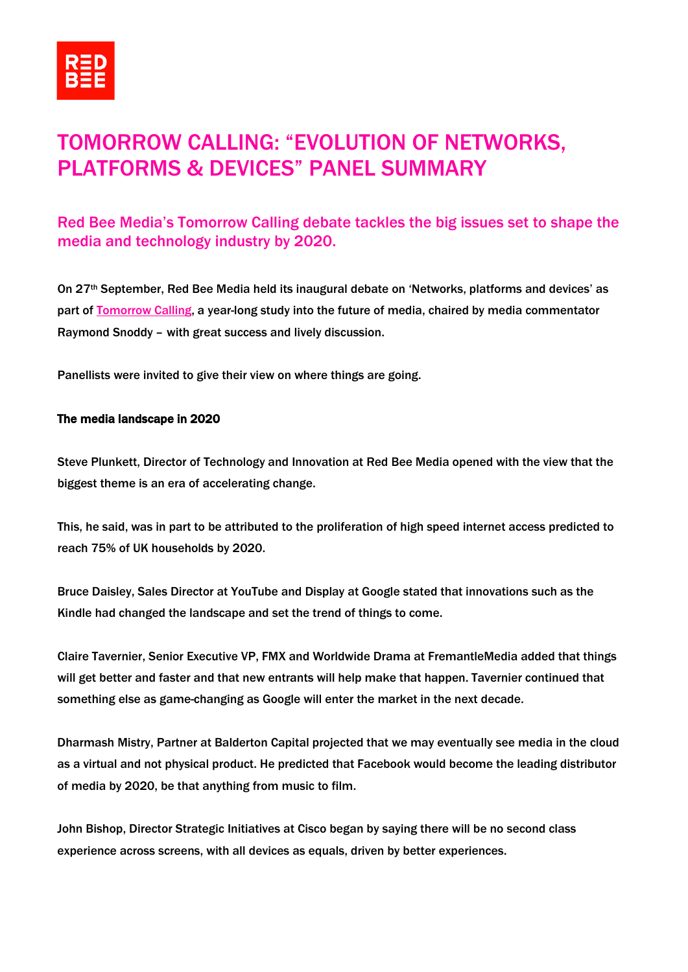

# TOMORROW CALLING: "EVOLUTION OF NETWORKS, PLATFORMS & DEVICES" PANEL SUMMARY

## Red Bee Media's Tomorrow Calling debate tackles the big issues set to shape the media and technology industry by 2020.

On 27th September, Red Bee Media held its inaugural debate on 'Networks, platforms and devices' as part of [Tomorrow Calling,](http://www.redbeemedia.com/insights/tomorrow-calling) a year-long study into the future of media, chaired by media commentator Raymond Snoddy – with great success and lively discussion.

Panellists were invited to give their view on where things are going.

### The media landscape in 2020

Steve Plunkett, Director of Technology and Innovation at Red Bee Media opened with the view that the biggest theme is an era of accelerating change.

This, he said, was in part to be attributed to the proliferation of high speed internet access predicted to reach 75% of UK households by 2020.

Bruce Daisley, Sales Director at YouTube and Display at Google stated that innovations such as the Kindle had changed the landscape and set the trend of things to come.

Claire Tavernier, Senior Executive VP, FMX and Worldwide Drama at FremantleMedia added that things will get better and faster and that new entrants will help make that happen. Tavernier continued that something else as game-changing as Google will enter the market in the next decade.

Dharmash Mistry, Partner at Balderton Capital projected that we may eventually see media in the cloud as a virtual and not physical product. He predicted that Facebook would become the leading distributor of media by 2020, be that anything from music to film.

John Bishop, Director Strategic Initiatives at Cisco began by saying there will be no second class experience across screens, with all devices as equals, driven by better experiences.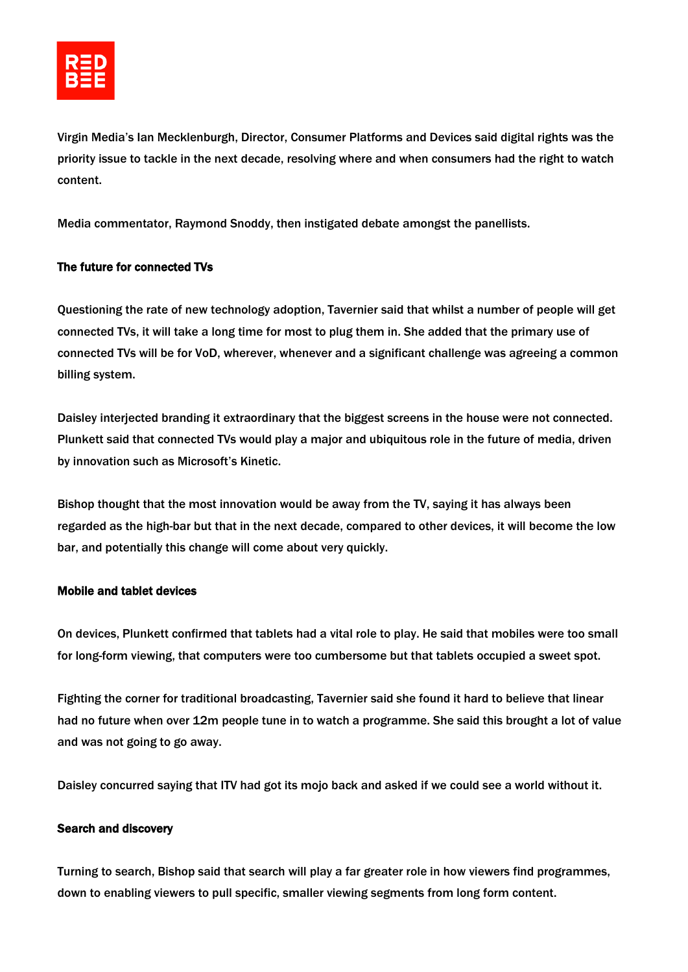Virgin Media's Ian Mecklenburgh, Director, Consumer Platforms and Devices said digital rights was the priority issue to tackle in the next decade, resolving where and when consumers had the right to watch content.

Media commentator, Raymond Snoddy, then instigated debate amongst the panellists.

### The future for connected TVs

Questioning the rate of new technology adoption, Tavernier said that whilst a number of people will get connected TVs, it will take a long time for most to plug them in. She added that the primary use of connected TVs will be for VoD, wherever, whenever and a significant challenge was agreeing a common billing system.

Daisley interjected branding it extraordinary that the biggest screens in the house were not connected. Plunkett said that connected TVs would play a major and ubiquitous role in the future of media, driven by innovation such as Microsoft's Kinetic.

Bishop thought that the most innovation would be away from the TV, saying it has always been regarded as the high-bar but that in the next decade, compared to other devices, it will become the low bar, and potentially this change will come about very quickly.

### Mobile and tablet devices

On devices, Plunkett confirmed that tablets had a vital role to play. He said that mobiles were too small for long-form viewing, that computers were too cumbersome but that tablets occupied a sweet spot.

Fighting the corner for traditional broadcasting, Tavernier said she found it hard to believe that linear had no future when over 12m people tune in to watch a programme. She said this brought a lot of value and was not going to go away.

Daisley concurred saying that ITV had got its mojo back and asked if we could see a world without it.

### Search and discovery

Turning to search, Bishop said that search will play a far greater role in how viewers find programmes, down to enabling viewers to pull specific, smaller viewing segments from long form content.